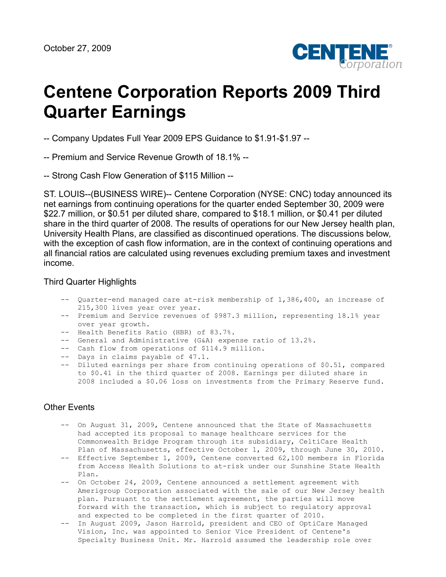

# **Centene Corporation Reports 2009 Third Quarter Earnings**

-- Company Updates Full Year 2009 EPS Guidance to \$1.91-\$1.97 --

-- Premium and Service Revenue Growth of 18.1% --

-- Strong Cash Flow Generation of \$115 Million --

ST. LOUIS--(BUSINESS WIRE)-- Centene Corporation (NYSE: CNC) today announced its net earnings from continuing operations for the quarter ended September 30, 2009 were \$22.7 million, or \$0.51 per diluted share, compared to \$18.1 million, or \$0.41 per diluted share in the third quarter of 2008. The results of operations for our New Jersey health plan, University Health Plans, are classified as discontinued operations. The discussions below, with the exception of cash flow information, are in the context of continuing operations and all financial ratios are calculated using revenues excluding premium taxes and investment income.

# Third Quarter Highlights

- -- Quarter-end managed care at-risk membership of 1,386,400, an increase of 215,300 lives year over year.
- -- Premium and Service revenues of \$987.3 million, representing 18.1% year over year growth.
- -- Health Benefits Ratio (HBR) of 83.7%.
- -- General and Administrative (G&A) expense ratio of 13.2%.
- -- Cash flow from operations of \$114.9 million.
- -- Days in claims payable of 47.1.
- -- Diluted earnings per share from continuing operations of \$0.51, compared to \$0.41 in the third quarter of 2008. Earnings per diluted share in 2008 included a \$0.06 loss on investments from the Primary Reserve fund.

# Other Events

- -- On August 31, 2009, Centene announced that the State of Massachusetts had accepted its proposal to manage healthcare services for the Commonwealth Bridge Program through its subsidiary, CeltiCare Health Plan of Massachusetts, effective October 1, 2009, through June 30, 2010.
- -- Effective September 1, 2009, Centene converted 62,100 members in Florida from Access Health Solutions to at-risk under our Sunshine State Health Plan.
- -- On October 24, 2009, Centene announced a settlement agreement with Amerigroup Corporation associated with the sale of our New Jersey health plan. Pursuant to the settlement agreement, the parties will move forward with the transaction, which is subject to regulatory approval and expected to be completed in the first quarter of 2010.
- -- In August 2009, Jason Harrold, president and CEO of OptiCare Managed Vision, Inc. was appointed to Senior Vice President of Centene's Specialty Business Unit. Mr. Harrold assumed the leadership role over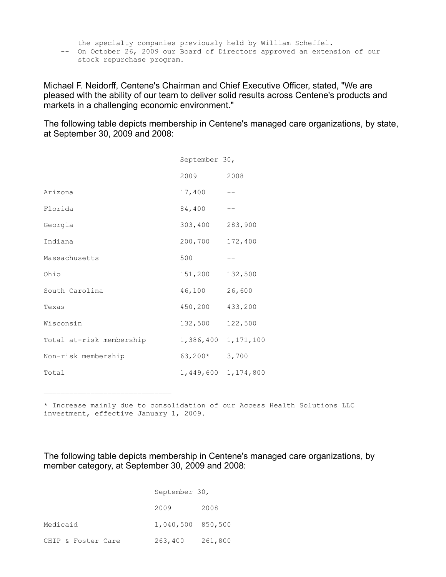the specialty companies previously held by William Scheffel. -- On October 26, 2009 our Board of Directors approved an extension of our stock repurchase program.

Michael F. Neidorff, Centene's Chairman and Chief Executive Officer, stated, "We are pleased with the ability of our team to deliver solid results across Centene's products and markets in a challenging economic environment."

The following table depicts membership in Centene's managed care organizations, by state, at September 30, 2009 and 2008:

|                          | September 30, |           |
|--------------------------|---------------|-----------|
|                          | 2009          | 2008      |
| Arizona                  | 17,400        |           |
| Florida                  | 84,400        |           |
| Georgia                  | 303,400       | 283,900   |
| Indiana                  | 200,700       | 172,400   |
| Massachusetts            | 500           |           |
| Ohio                     | 151,200       | 132,500   |
| South Carolina           | 46,100        | 26,600    |
| Texas                    | 450,200       | 433,200   |
| Wisconsin                | 132,500       | 122,500   |
| Total at-risk membership | 1,386,400     | 1,171,100 |
| Non-risk membership      | 63,200*       | 3,700     |
| Total                    | 1,449,600     | 1,174,800 |

\* Increase mainly due to consolidation of our Access Health Solutions LLC investment, effective January 1, 2009.

The following table depicts membership in Centene's managed care organizations, by member category, at September 30, 2009 and 2008:

|                    | September 30,     |         |  |  |  |
|--------------------|-------------------|---------|--|--|--|
|                    | 2009              | 2008    |  |  |  |
| Medicaid           | 1,040,500 850,500 |         |  |  |  |
| CHIP & Foster Care | 263,400           | 261,800 |  |  |  |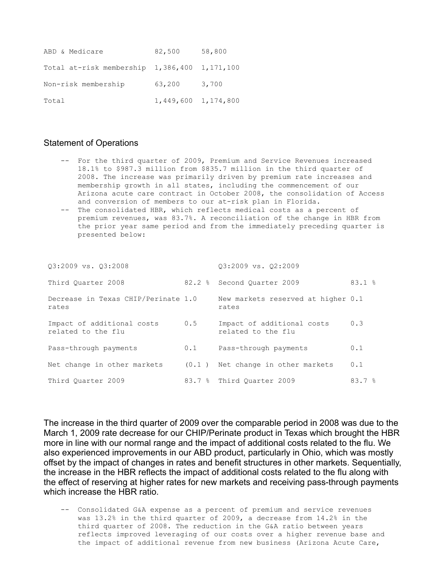| ABD & Medicare                                 | 82,500 | 58,800              |
|------------------------------------------------|--------|---------------------|
| Total at-risk membership $1,386,400$ 1,171,100 |        |                     |
| Non-risk membership                            | 63,200 | 3,700               |
| Total                                          |        | 1,449,600 1,174,800 |

#### Statement of Operations

- -- For the third quarter of 2009, Premium and Service Revenues increased 18.1% to \$987.3 million from \$835.7 million in the third quarter of 2008. The increase was primarily driven by premium rate increases and membership growth in all states, including the commencement of our Arizona acute care contract in October 2008, the consolidation of Access and conversion of members to our at-risk plan in Florida.
- -- The consolidated HBR, which reflects medical costs as a percent of premium revenues, was 83.7%. A reconciliation of the change in HBR from the prior year same period and from the immediately preceding quarter is presented below:

| 03:2009 vs. 03:2008                              |       | 03:2009 vs. 02:2009                              |       |
|--------------------------------------------------|-------|--------------------------------------------------|-------|
| Third Ouarter 2008                               |       | 82.2 % Second Quarter 2009                       | 83.1% |
| Decrease in Texas CHIP/Perinate 1.0<br>rates     |       | New markets reserved at higher 0.1<br>rates      |       |
| Impact of additional costs<br>related to the flu | 0.5   | Impact of additional costs<br>related to the flu | 0.3   |
| Pass-through payments                            | 0.1   | Pass-through payments                            | 0.1   |
| Net change in other markets                      | (0,1) | Net change in other markets                      | 0.1   |
| Third Ouarter 2009                               |       | 83.7 % Third Ouarter 2009                        | 83.7% |

The increase in the third quarter of 2009 over the comparable period in 2008 was due to the March 1, 2009 rate decrease for our CHIP/Perinate product in Texas which brought the HBR more in line with our normal range and the impact of additional costs related to the flu. We also experienced improvements in our ABD product, particularly in Ohio, which was mostly offset by the impact of changes in rates and benefit structures in other markets. Sequentially, the increase in the HBR reflects the impact of additional costs related to the flu along with the effect of reserving at higher rates for new markets and receiving pass-through payments which increase the HBR ratio.

 -- Consolidated G&A expense as a percent of premium and service revenues was 13.2% in the third quarter of 2009, a decrease from 14.2% in the third quarter of 2008. The reduction in the G&A ratio between years reflects improved leveraging of our costs over a higher revenue base and the impact of additional revenue from new business (Arizona Acute Care,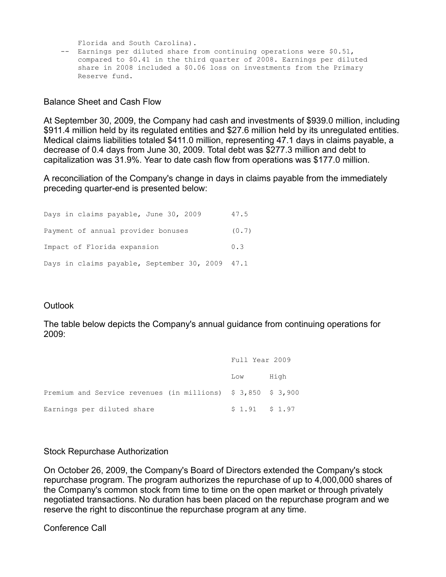Florida and South Carolina). -- Earnings per diluted share from continuing operations were \$0.51, compared to \$0.41 in the third quarter of 2008. Earnings per diluted share in 2008 included a \$0.06 loss on investments from the Primary Reserve fund.

## Balance Sheet and Cash Flow

At September 30, 2009, the Company had cash and investments of \$939.0 million, including \$911.4 million held by its regulated entities and \$27.6 million held by its unregulated entities. Medical claims liabilities totaled \$411.0 million, representing 47.1 days in claims payable, a decrease of 0.4 days from June 30, 2009. Total debt was \$277.3 million and debt to capitalization was 31.9%. Year to date cash flow from operations was \$177.0 million.

A reconciliation of the Company's change in days in claims payable from the immediately preceding quarter-end is presented below:

| Days in claims payable, June 30, 2009           | 47.5 |  |  |  |  |  |
|-------------------------------------------------|------|--|--|--|--|--|
| Payment of annual provider bonuses              |      |  |  |  |  |  |
| Impact of Florida expansion                     |      |  |  |  |  |  |
| Days in claims payable, September 30, 2009 47.1 |      |  |  |  |  |  |

# **Outlook**

The table below depicts the Company's annual guidance from continuing operations for 2009:

|                                                              | Full Year 2009  |      |  |  |
|--------------------------------------------------------------|-----------------|------|--|--|
|                                                              | Low             | High |  |  |
| Premium and Service revenues (in millions) $$3,850$ $$3,900$ |                 |      |  |  |
| Earnings per diluted share                                   | $$1.91$ $$1.97$ |      |  |  |

### Stock Repurchase Authorization

On October 26, 2009, the Company's Board of Directors extended the Company's stock repurchase program. The program authorizes the repurchase of up to 4,000,000 shares of the Company's common stock from time to time on the open market or through privately negotiated transactions. No duration has been placed on the repurchase program and we reserve the right to discontinue the repurchase program at any time.

Conference Call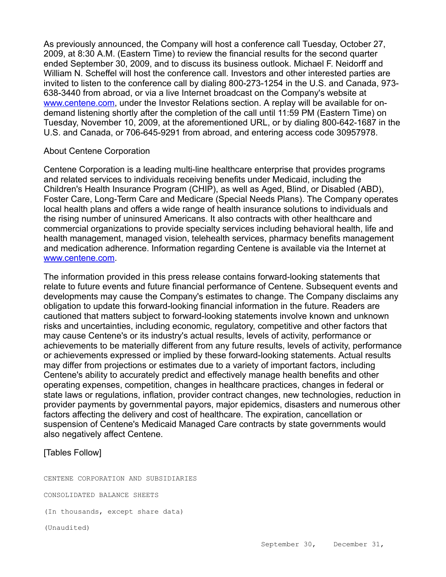As previously announced, the Company will host a conference call Tuesday, October 27, 2009, at 8:30 A.M. (Eastern Time) to review the financial results for the second quarter ended September 30, 2009, and to discuss its business outlook. Michael F. Neidorff and William N. Scheffel will host the conference call. Investors and other interested parties are invited to listen to the conference call by dialing 800-273-1254 in the U.S. and Canada, 973- 638-3440 from abroad, or via a live Internet broadcast on the Company's website at [www.centene.com,](http://www.centene.com/) under the Investor Relations section. A replay will be available for ondemand listening shortly after the completion of the call until 11:59 PM (Eastern Time) on Tuesday, November 10, 2009, at the aforementioned URL, or by dialing 800-642-1687 in the U.S. and Canada, or 706-645-9291 from abroad, and entering access code 30957978.

## About Centene Corporation

Centene Corporation is a leading multi-line healthcare enterprise that provides programs and related services to individuals receiving benefits under Medicaid, including the Children's Health Insurance Program (CHIP), as well as Aged, Blind, or Disabled (ABD), Foster Care, Long-Term Care and Medicare (Special Needs Plans). The Company operates local health plans and offers a wide range of health insurance solutions to individuals and the rising number of uninsured Americans. It also contracts with other healthcare and commercial organizations to provide specialty services including behavioral health, life and health management, managed vision, telehealth services, pharmacy benefits management and medication adherence. Information regarding Centene is available via the Internet at [www.centene.com.](http://www.centene.com/)

The information provided in this press release contains forward-looking statements that relate to future events and future financial performance of Centene. Subsequent events and developments may cause the Company's estimates to change. The Company disclaims any obligation to update this forward-looking financial information in the future. Readers are cautioned that matters subject to forward-looking statements involve known and unknown risks and uncertainties, including economic, regulatory, competitive and other factors that may cause Centene's or its industry's actual results, levels of activity, performance or achievements to be materially different from any future results, levels of activity, performance or achievements expressed or implied by these forward-looking statements. Actual results may differ from projections or estimates due to a variety of important factors, including Centene's ability to accurately predict and effectively manage health benefits and other operating expenses, competition, changes in healthcare practices, changes in federal or state laws or regulations, inflation, provider contract changes, new technologies, reduction in provider payments by governmental payors, major epidemics, disasters and numerous other factors affecting the delivery and cost of healthcare. The expiration, cancellation or suspension of Centene's Medicaid Managed Care contracts by state governments would also negatively affect Centene.

# [Tables Follow]

CENTENE CORPORATION AND SUBSIDIARIES CONSOLIDATED BALANCE SHEETS (In thousands, except share data) (Unaudited)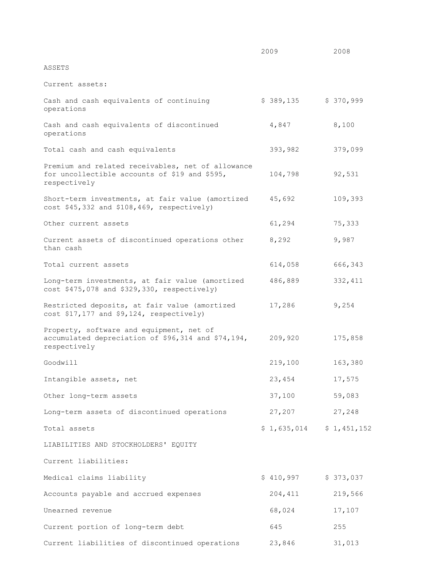|                                                                                                                    | 2009                      | 2008 |           |  |
|--------------------------------------------------------------------------------------------------------------------|---------------------------|------|-----------|--|
| ASSETS                                                                                                             |                           |      |           |  |
| Current assets:                                                                                                    |                           |      |           |  |
| Cash and cash equivalents of continuing<br>operations                                                              | \$389,135                 |      | \$370,999 |  |
| Cash and cash equivalents of discontinued<br>operations                                                            | 4,847                     |      | 8,100     |  |
| Total cash and cash equivalents                                                                                    | 393,982                   |      | 379,099   |  |
| Premium and related receivables, net of allowance<br>for uncollectible accounts of \$19 and \$595,<br>respectively | 104,798                   |      | 92,531    |  |
| Short-term investments, at fair value (amortized<br>cost \$45,332 and \$108,469, respectively)                     | 45,692                    |      | 109,393   |  |
| Other current assets                                                                                               | 61,294                    |      | 75,333    |  |
| Current assets of discontinued operations other<br>than cash                                                       | 8,292                     |      | 9,987     |  |
| Total current assets                                                                                               | 614,058                   |      | 666,343   |  |
| Long-term investments, at fair value (amortized<br>cost \$475,078 and \$329,330, respectively)                     | 486,889                   |      | 332, 411  |  |
| Restricted deposits, at fair value (amortized<br>cost \$17,177 and \$9,124, respectively)                          | 17,286                    |      | 9,254     |  |
| Property, software and equipment, net of<br>accumulated depreciation of \$96,314 and \$74,194,<br>respectively     | 209,920                   |      | 175,858   |  |
| Goodwill                                                                                                           | 219,100                   |      | 163,380   |  |
| Intangible assets, net                                                                                             | 23,454                    |      | 17,575    |  |
| Other long-term assets                                                                                             | 37,100                    |      | 59,083    |  |
| Long-term assets of discontinued operations                                                                        | 27,207                    |      | 27,248    |  |
| Total assets                                                                                                       | $$1,635,014$ $$1,451,152$ |      |           |  |
| LIABILITIES AND STOCKHOLDERS' EQUITY                                                                               |                           |      |           |  |
| Current liabilities:                                                                                               |                           |      |           |  |
| Medical claims liability                                                                                           | $$410,997$ $$373,037$     |      |           |  |
| Accounts payable and accrued expenses                                                                              | 204,411                   |      | 219,566   |  |
| Unearned revenue                                                                                                   | 68,024                    |      | 17,107    |  |
| Current portion of long-term debt                                                                                  | 645                       |      | 255       |  |
| Current liabilities of discontinued operations                                                                     | 23,846                    |      | 31,013    |  |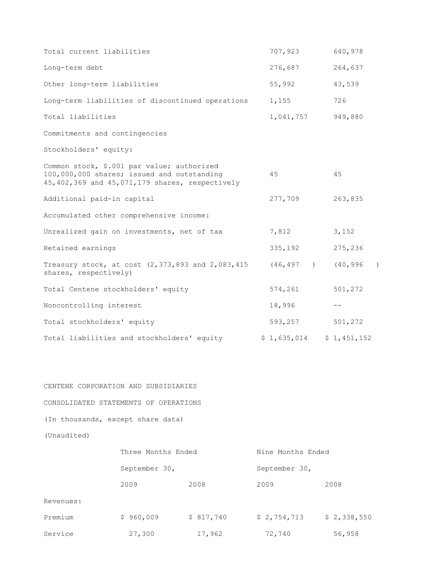| Total current liabilities                                                                                                                      | 707,923     | 640,978                    |
|------------------------------------------------------------------------------------------------------------------------------------------------|-------------|----------------------------|
| Long-term debt                                                                                                                                 | 276,687     | 264,637                    |
| Other long-term liabilities                                                                                                                    | 55,992      | 43,539                     |
| Long-term liabilities of discontinued operations                                                                                               | 1,155       | 726                        |
| Total liabilities                                                                                                                              | 1,041,757   | 949,880                    |
| Commitments and contingencies                                                                                                                  |             |                            |
| Stockholders' equity:                                                                                                                          |             |                            |
| Common stock, \$.001 par value; authorized<br>100,000,000 shares; issued and outstanding<br>45, 402, 369 and 45, 071, 179 shares, respectively | 45          | 45                         |
| Additional paid-in capital                                                                                                                     | 277,709     | 263,835                    |
| Accumulated other comprehensive income:                                                                                                        |             |                            |
| Unrealized gain on investments, net of tax                                                                                                     | 7,812       | 3,152                      |
| Retained earnings                                                                                                                              | 335,192     | 275,236                    |
| Treasury stock, at cost (2,373,893 and 2,083,415<br>shares, respectively)                                                                      | (46, 497)   | (40, 996)<br>$\rightarrow$ |
| Total Centene stockholders' equity                                                                                                             | 574,261     | 501,272                    |
| Noncontrolling interest                                                                                                                        | 18,996      | $- -$                      |
| Total stockholders' equity                                                                                                                     | 593,257     | 501,272                    |
| Total liabilities and stockholders' equity                                                                                                     | \$1,635,014 | \$1,451,152                |

CENTENE CORPORATION AND SUBSIDIARIES CONSOLIDATED STATEMENTS OF OPERATIONS (In thousands, except share data) (Unaudited)

Three Months Ended Nine Months Ended September 30, September 30, 2009 2008 2009 2008 Revenues: Premium \$ 960,009 \$ 817,740 \$ 2,754,713 \$ 2,338,550 Service 27,300 17,962 72,740 56,958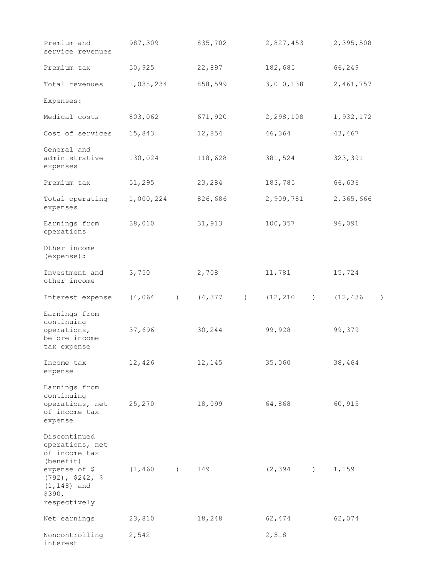| Premium and<br>service revenues                                                                                                                   | 987,309                      | 835,702                      | 2,827,453                    | 2,395,508                     |
|---------------------------------------------------------------------------------------------------------------------------------------------------|------------------------------|------------------------------|------------------------------|-------------------------------|
| Premium tax                                                                                                                                       | 50,925                       | 22,897                       | 182,685                      | 66,249                        |
| Total revenues                                                                                                                                    | 1,038,234                    | 858,599                      | 3,010,138                    | 2,461,757                     |
| Expenses:                                                                                                                                         |                              |                              |                              |                               |
| Medical costs                                                                                                                                     | 803,062                      | 671,920                      | 2,298,108                    | 1,932,172                     |
| Cost of services                                                                                                                                  | 15,843                       | 12,854                       | 46,364                       | 43,467                        |
| General and<br>administrative<br>expenses                                                                                                         | 130,024                      | 118,628                      | 381,524                      | 323,391                       |
| Premium tax                                                                                                                                       | 51,295                       | 23,284                       | 183,785                      | 66,636                        |
| Total operating<br>expenses                                                                                                                       | 1,000,224                    | 826,686                      | 2,909,781                    | 2,365,666                     |
| Earnings from<br>operations                                                                                                                       | 38,010                       | 31,913                       | 100,357                      | 96,091                        |
| Other income<br>(expense) :                                                                                                                       |                              |                              |                              |                               |
| Investment and<br>other income                                                                                                                    | 3,750                        | 2,708                        | 11,781                       | 15,724                        |
| Interest expense                                                                                                                                  | (4, 064)<br>$\left( \right)$ | (4, 377)<br>$\left( \right)$ | (12, 210)<br>$\lambda$       | (12, 436)<br>$\left( \right)$ |
| Earnings from<br>continuing                                                                                                                       |                              |                              |                              |                               |
| operations,<br>before income<br>tax expense                                                                                                       | 37,696                       | 30,244                       | 99,928                       | 99,379                        |
| Income tax<br>expense                                                                                                                             | 12,426                       | 12,145                       | 35,060                       | 38,464                        |
| Earnings from<br>continuing<br>operations, net<br>of income tax<br>expense                                                                        | 25,270                       | 18,099                       | 64,868                       | 60,915                        |
| Discontinued<br>operations, net<br>of income tax<br>(benefit)<br>expense of \$<br>$(792)$ , \$242, \$<br>$(1, 148)$ and<br>\$390,<br>respectively | (1, 460)<br>$\rightarrow$    | 149                          | (2, 394)<br>$\left( \right)$ | 1,159                         |
| Net earnings                                                                                                                                      | 23,810                       | 18,248                       | 62,474                       | 62,074                        |
| Noncontrolling<br>interest                                                                                                                        | 2,542                        |                              | 2,518                        |                               |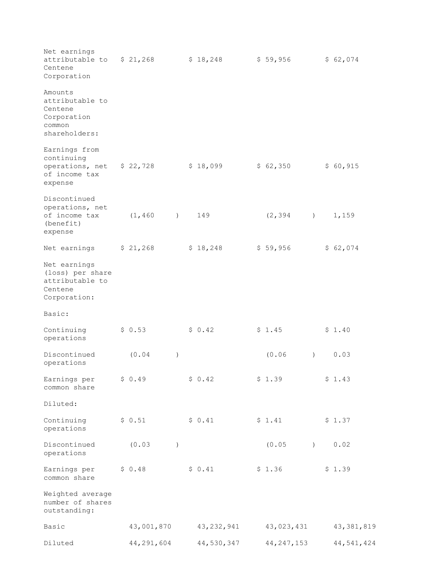| Net earnings<br>attributable to<br>Centene<br>Corporation                       | \$21,268   |                  | \$18,248     | \$59,956     |                  | \$62,074     |
|---------------------------------------------------------------------------------|------------|------------------|--------------|--------------|------------------|--------------|
| Amounts<br>attributable to<br>Centene<br>Corporation<br>common<br>shareholders: |            |                  |              |              |                  |              |
| Earnings from<br>continuing<br>operations, net<br>of income tax<br>expense      | \$22,728   |                  | \$18,099     | \$62,350     |                  | \$60,915     |
| Discontinued<br>operations, net<br>of income tax<br>(benefit)<br>expense        | (1, 460)   | $\left( \right)$ | 149          | (2, 394)     | $\left( \right)$ | 1,159        |
| Net earnings                                                                    | \$21,268   |                  | \$18,248     | \$59,956     |                  | \$62,074     |
| Net earnings<br>(loss) per share<br>attributable to<br>Centene<br>Corporation:  |            |                  |              |              |                  |              |
| Basic:                                                                          |            |                  |              |              |                  |              |
| Continuing<br>operations                                                        | \$0.53     |                  | \$0.42       | \$1.45       |                  | \$1.40       |
| Discontinued<br>operations                                                      | (0.04)     | $\lambda$        |              | (0.06)       | $\lambda$        | 0.03         |
| Earnings per<br>common share                                                    | \$0.49     |                  | \$0.42       | \$1.39       |                  | \$1.43       |
| Diluted:                                                                        |            |                  |              |              |                  |              |
| Continuing<br>operations                                                        | \$0.51     |                  | \$0.41       | \$1.41       |                  | \$1.37       |
| Discontinued<br>operations                                                      | (0.03)     | $\big)$          |              | (0.05)       | $\left( \right)$ | 0.02         |
| Earnings per<br>common share                                                    | \$0.48     |                  | \$0.41       | \$1.36       |                  | \$1.39       |
| Weighted average<br>number of shares<br>outstanding:                            |            |                  |              |              |                  |              |
| Basic                                                                           | 43,001,870 |                  | 43, 232, 941 | 43,023,431   |                  | 43, 381, 819 |
| Diluted                                                                         | 44,291,604 |                  | 44,530,347   | 44, 247, 153 |                  | 44,541,424   |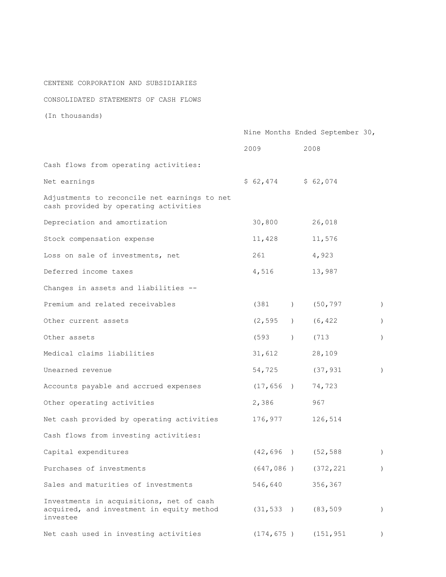#### CENTENE CORPORATION AND SUBSIDIARIES

#### CONSOLIDATED STATEMENTS OF CASH FLOWS

(In thousands)

|                                                                                                   |                         |                | Nine Months Ended September 30, |                  |
|---------------------------------------------------------------------------------------------------|-------------------------|----------------|---------------------------------|------------------|
|                                                                                                   | 2009                    |                | 2008                            |                  |
| Cash flows from operating activities:                                                             |                         |                |                                 |                  |
| Net earnings                                                                                      | $$62,474$ $$62,074$     |                |                                 |                  |
| Adjustments to reconcile net earnings to net<br>cash provided by operating activities             |                         |                |                                 |                  |
| Depreciation and amortization                                                                     | 30,800                  |                | 26,018                          |                  |
| Stock compensation expense                                                                        | 11,428                  |                | 11,576                          |                  |
| Loss on sale of investments, net                                                                  | 261                     |                | 4,923                           |                  |
| Deferred income taxes                                                                             | 4,516                   |                | 13,987                          |                  |
| Changes in assets and liabilities --                                                              |                         |                |                                 |                  |
| Premium and related receivables                                                                   | (381                    | $\rightarrow$  | (50, 797)                       | $\left( \right)$ |
| Other current assets                                                                              | (2, 595)                | $\rightarrow$  | (6, 422)                        | $\left( \right)$ |
| Other assets                                                                                      | (593)                   | $\overline{)}$ | (713                            | $\left( \right)$ |
| Medical claims liabilities                                                                        | 31,612                  |                | 28,109                          |                  |
| Unearned revenue                                                                                  | 54,725                  |                | (37, 931)                       | $\left( \right)$ |
| Accounts payable and accrued expenses                                                             | (17, 656)               |                | 74,723                          |                  |
| Other operating activities                                                                        | 2,386                   |                | 967                             |                  |
| Net cash provided by operating activities                                                         | 176,977                 |                | 126,514                         |                  |
| Cash flows from investing activities:                                                             |                         |                |                                 |                  |
| Capital expenditures                                                                              | $(42, 696)$ $(52, 588)$ |                |                                 | $\left( \right)$ |
| Purchases of investments                                                                          | (647, 086)              |                | (372, 221)                      | $\left( \right)$ |
| Sales and maturities of investments                                                               | 546,640                 |                | 356,367                         |                  |
| Investments in acquisitions, net of cash<br>acquired, and investment in equity method<br>investee | (31, 533)               |                | (83, 509)                       | $\left( \right)$ |
| Net cash used in investing activities                                                             | (174, 675)              |                | (151, 951)                      | $\left( \right)$ |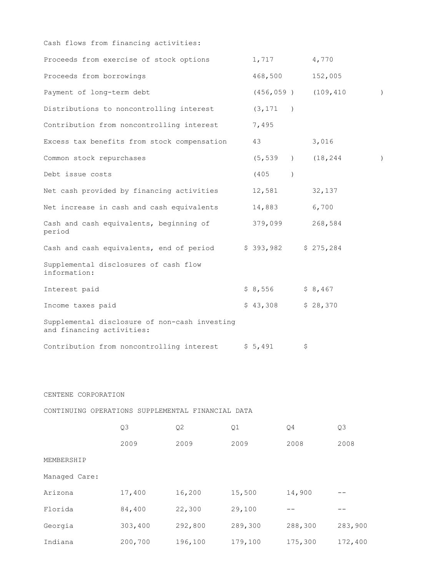| Cash flows from financing activities:                                      |                 |                  |                           |                  |
|----------------------------------------------------------------------------|-----------------|------------------|---------------------------|------------------|
| Proceeds from exercise of stock options                                    | 1,717           |                  | 4,770                     |                  |
| Proceeds from borrowings                                                   | 468,500         |                  | 152,005                   |                  |
| Payment of long-term debt                                                  |                 |                  | $(456, 059)$ $(109, 410)$ | $\lambda$        |
| Distributions to noncontrolling interest                                   | (3, 171)        |                  |                           |                  |
| Contribution from noncontrolling interest                                  | 7,495           |                  |                           |                  |
| Excess tax benefits from stock compensation                                | 43              |                  | 3,016                     |                  |
| Common stock repurchases                                                   |                 |                  | $(5, 539)$ $(18, 244)$    | $\left( \right)$ |
| Debt issue costs                                                           | (405)           | $\left( \right)$ |                           |                  |
| Net cash provided by financing activities                                  | 12,581          |                  | 32,137                    |                  |
| Net increase in cash and cash equivalents                                  | 14,883          |                  | 6,700                     |                  |
| Cash and cash equivalents, beginning of<br>period                          | 379,099 268,584 |                  |                           |                  |
| Cash and cash equivalents, end of period                                   | \$393,982       |                  | \$275,284                 |                  |
| Supplemental disclosures of cash flow<br>information:                      |                 |                  |                           |                  |
| Interest paid                                                              | \$8,556         |                  | \$8,467                   |                  |
| Income taxes paid                                                          | \$43,308        |                  | \$28,370                  |                  |
| Supplemental disclosure of non-cash investing<br>and financing activities: |                 |                  |                           |                  |
| Contribution from noncontrolling interest                                  | \$5,491         |                  | \$                        |                  |

#### CENTENE CORPORATION

CONTINUING OPERATIONS SUPPLEMENTAL FINANCIAL DATA

|               | Q3      | Q <sub>2</sub> | Q1      | Q4      | Q3      |
|---------------|---------|----------------|---------|---------|---------|
|               | 2009    | 2009           | 2009    | 2008    | 2008    |
| MEMBERSHIP    |         |                |         |         |         |
| Managed Care: |         |                |         |         |         |
| Arizona       | 17,400  | 16,200         | 15,500  | 14,900  |         |
| Florida       | 84,400  | 22,300         | 29,100  |         |         |
| Georgia       | 303,400 | 292,800        | 289,300 | 288,300 | 283,900 |
| Indiana       | 200,700 | 196,100        | 179,100 | 175,300 | 172,400 |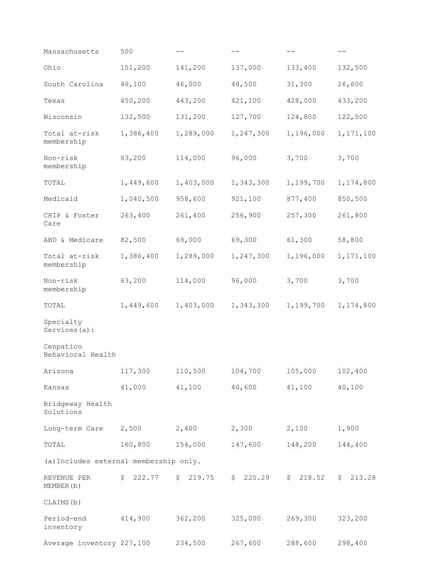| Massachusetts                          | 500          | $- -$        | $- -$        | $-\,-$                 | $- -$        |
|----------------------------------------|--------------|--------------|--------------|------------------------|--------------|
| Ohio                                   | 151,200      | 141,200      | 137,000      | 133,400                | 132,500      |
| South Carolina                         | 46,100       | 46,000       | 48,500       | 31,300                 | 26,600       |
| Texas                                  | 450,200      | 443,200      | 421,100      | 428,000                | 433,200      |
| Wisconsin                              | 132,500      | 131,200      | 127,700      | 124,800                | 122,500      |
| Total at-risk<br>membership            | 1,386,400    | 1,289,000    | 1,247,300    | 1,196,000              | 1, 171, 100  |
| Non-risk<br>membership                 | 63,200       | 114,000      | 96,000       | 3,700                  | 3,700        |
| TOTAL                                  | 1,449,600    | 1,403,000    | 1,343,300    | 1,199,700              | 1,174,800    |
| Medicaid                               | 1,040,500    | 958,600      | 921,100      | 877,400                | 850,500      |
| CHIP & Foster<br>Care                  | 263,400      | 261,400      | 256,900      | 257,300                | 261,800      |
| ABD & Medicare                         | 82,500       | 69,000       | 69,300       | 61,300                 | 58,800       |
| Total at-risk<br>membership            | 1,386,400    | 1,289,000    | 1,247,300    | 1,196,000              | 1, 171, 100  |
| Non-risk<br>membership                 | 63,200       | 114,000      | 96,000       | 3,700                  | 3,700        |
| TOTAL                                  | 1,449,600    | 1,403,000    | 1,343,300    | 1,199,700              | 1,174,800    |
| Specialty<br>Services(a):              |              |              |              |                        |              |
| Cenpatico<br>Behavioral Health         |              |              |              |                        |              |
| Arizona                                | 117,300      | 110,500      | 104,700      | 105,000                | 102,400      |
| Kansas                                 | 41,000       | 41,100       | 40,600       | 41,100                 | 40,100       |
| Bridgeway Health<br>Solutions          |              |              |              |                        |              |
| Long-term Care                         | 2,500        | 2,400        | 2,300        | 2,100                  | 1,900        |
| TOTAL                                  | 160,800      | 154,000      | 147,600      | 148,200                | 144,400      |
| (a) Includes external membership only. |              |              |              |                        |              |
| REVENUE PER<br>MEMBER(b)               | 222.77<br>\$ | 219.75<br>\$ | 220.29<br>\$ | 218.52<br>$\mathsf{S}$ | 213.28<br>Ş. |
| CLAIMS (b)                             |              |              |              |                        |              |
| Period-end<br>inventory                | 414,900      | 362,200      | 325,000      | 269,300                | 323,200      |
| Average inventory 227,100              |              | 234,500      | 267,600      | 288,600                | 298,400      |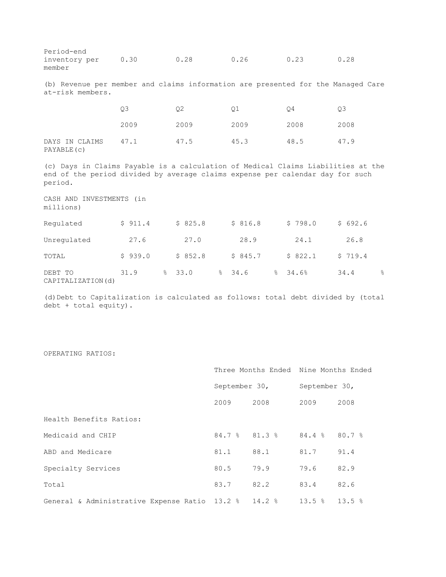Period-end inventory per 0.30 0.28 0.26 0.23 0.28 member

(b) Revenue per member and claims information are presented for the Managed Care at-risk members.

|                               | OЗ   | Q <sub>2</sub> | ΟT   | O4   | OЗ   |
|-------------------------------|------|----------------|------|------|------|
|                               | 2009 | 2009           | 2009 | 2008 | 2008 |
| DAYS IN CLAIMS<br>PAYABLE (c) | 47.1 | 47.5           | 45.3 | 48.5 | 47.9 |

(c) Days in Claims Payable is a calculation of Medical Claims Liabilities at the end of the period divided by average claims expense per calendar day for such period.

CASH AND INVESTMENTS (in millions)

| Requlated                    | \$911.4 | \$825.8 | \$816.8 | \$798.0 | \$692.6 |    |
|------------------------------|---------|---------|---------|---------|---------|----|
| Unregulated                  | 27.6    | 27.0    | 28.9    | 24.1    | 26.8    |    |
| TOTAL                        | \$939.0 | \$852.8 | \$845.7 | \$822.1 | \$719.4 |    |
| DEBT TO<br>CAPITALIZATION(d) | 31.9    | 8, 33.0 | 8, 34.6 | 8, 34.6 | 34.4    | g. |

(d)Debt to Capitalization is calculated as follows: total debt divided by (total debt + total equity).

| OPERATING RATIOS:                                    |               |                                      |               |        |
|------------------------------------------------------|---------------|--------------------------------------|---------------|--------|
|                                                      |               | Three Months Ended Nine Months Ended |               |        |
|                                                      | September 30, |                                      | September 30, |        |
|                                                      | 2009          | 2008                                 | 2009          | 2008   |
| Health Benefits Ratios:                              |               |                                      |               |        |
| Medicaid and CHIP                                    |               | 84.7 % 81.3 %                        | 84.4%         | 80.7%  |
| ABD and Medicare                                     | 81.1          | 88.1                                 | 81.7          | 91.4   |
| Specialty Services                                   | 80.5          | 79.9                                 | 79.6          | 82.9   |
| Total                                                | 83.7          | 82.2                                 | 83.4          | 82.6   |
| General & Administrative Expense Ratio 13.2 % 14.2 % |               |                                      | 13.5%         | 13.5 % |